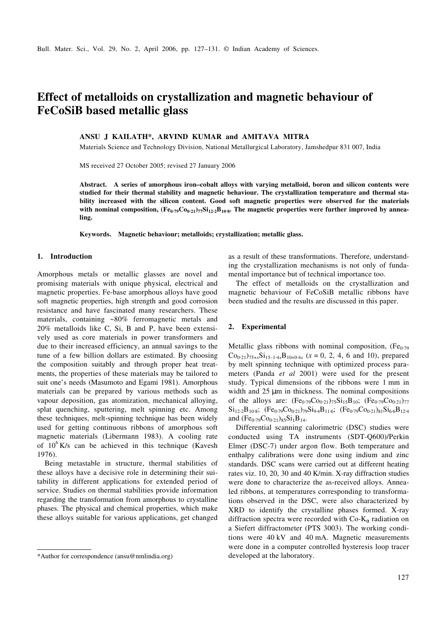# **Effect of metalloids on crystallization and magnetic behaviour of FeCoSiB based metallic glass**

# **ANSU J KAILATH\*, ARVIND KUMAR and AMITAVA MITRA**

Materials Science and Technology Division, National Metallurgical Laboratory, Jamshedpur 831 007, India

MS received 27 October 2005; revised 27 January 2006

**Abstract. A series of amorphous iron–cobalt alloys with varying metalloid, boron and silicon contents were studied for their thermal stability and magnetic behaviour. The crystallization temperature and thermal stability increased with the silicon content. Good soft magnetic properties were observed for the materials with nominal composition, (Fe0**⋅**79Co0**⋅**21)77Si12**⋅**2B10**⋅**<sup>8</sup> . The magnetic properties were further improved by annealing.**

**Keywords. Magnetic behaviour; metalloids; crystallization; metallic glass.**

#### **1. Introduction**

Amorphous metals or metallic glasses are novel and promising materials with unique physical, electrical and magnetic properties. Fe-base amorphous alloys have good soft magnetic properties, high strength and good corrosion resistance and have fascinated many researchers. These materials, containing ~80% ferromagnetic metals and 20% metalloids like C, Si, B and P, have been extensively used as core materials in power transformers and due to their increased efficiency, an annual savings to the tune of a few billion dollars are estimated. By choosing the composition suitably and through proper heat treatments, the properties of these materials may be tailored to suit one's needs (Masumoto and Egami 1981). Amorphous materials can be prepared by various methods such as vapour deposition, gas atomization, mechanical alloying, splat quenching, sputtering, melt spinning etc. Among these techniques, melt-spinning technique has been widely used for getting continuous ribbons of amorphous soft magnetic materials (Libermann 1983). A cooling rate of  $10^6$  K/s can be achieved in this technique (Kavesh 1976).

Being metastable in structure, thermal stabilities of these alloys have a decisive role in determining their suitability in different applications for extended period of service. Studies on thermal stabilities provide information regarding the transformation from amorphous to crystalline phases. The physical and chemical properties, which make these alloys suitable for various applications, get changed

as a result of these transformations. Therefore, understanding the crystallization mechanisms is not only of fundamental importance but of technical importance too.

The effect of metalloids on the crystallization and magnetic behaviour of FeCoSiB metallic ribbons have been studied and the results are discussed in this paper.

### **2. Experimental**

Metallic glass ribbons with nominal composition,  $(Fe<sub>0.79</sub>)$  $Co_{0.21}$ )<sub>75+*x*</sub>Si<sub>15-1⋅4*x*</sub>B<sub>10+0⋅4*x*</sub> (*x* = 0, 2, 4, 6 and 10), prepared by melt spinning technique with optimized process parameters (Panda *et al* 2001) were used for the present study. Typical dimensions of the ribbons were 1 mm in width and 25  $\mu$ m in thickness. The nominal compositions of the alloys are:  $(Fe_{0.79}Co_{0.21})_{75}Si_{15}B_{10}$ ;  $(Fe_{0.79}Co_{0.21})_{77}$  $Si_{12.2}B_{10.8}$ ;  $(Fe_{0.79}Co_{0.21})_{79}Si_{9.4}B_{11.6}$ ;  $(Fe_{0.79}Co_{0.21})_{81}Si_{6.6}B_{12.4}$ and  $(Fe<sub>0.79</sub>Co<sub>0.21</sub>)<sub>85</sub>Si<sub>1</sub>B<sub>14</sub>.$ 

Differential scanning calorimetric (DSC) studies were conducted using TA instruments (SDT-Q600)/Perkin Elmer (DSC-7) under argon flow. Both temperature and enthalpy calibrations were done using indium and zinc standards. DSC scans were carried out at different heating rates viz. 10, 20, 30 and 40 K/min. X-ray diffraction studies were done to characterize the as-received alloys. Annealed ribbons, at temperatures corresponding to transformations observed in the DSC, were also characterized by XRD to identify the crystalline phases formed. X-ray diffraction spectra were recorded with  $Co-K_{\alpha}$  radiation on a Siefert diffractometer (PTS 3003). The working conditions were 40 kV and 40 mA. Magnetic measurements were done in a computer controlled hysteresis loop tracer

<sup>\*</sup>Author for correspondence (ansu@nmlindia.org) developed at the laboratory.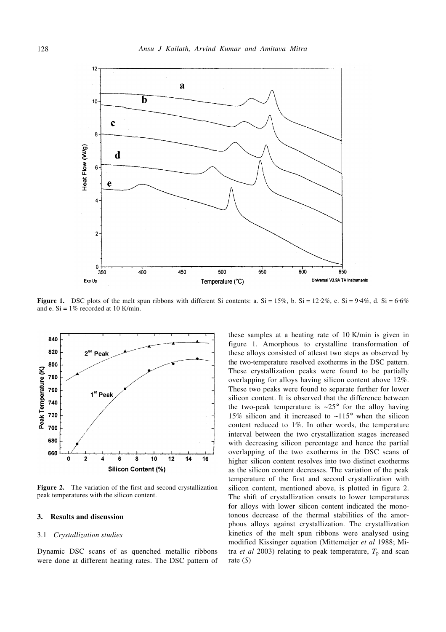

**Figure 1.** DSC plots of the melt spun ribbons with different Si contents: a. Si = 15%, b. Si = 12⋅2%, c. Si = 9⋅4%, d. Si = 6⋅6% and e.  $Si = 1\%$  recorded at 10 K/min.



**Figure 2.** The variation of the first and second crystallization peak temperatures with the silicon content.

## **3. Results and discussion**

## 3.1 *Crystallization studies*

Dynamic DSC scans of as quenched metallic ribbons were done at different heating rates. The DSC pattern of

these samples at a heating rate of 10 K/min is given in figure 1. Amorphous to crystalline transformation of these alloys consisted of atleast two steps as observed by the two-temperature resolved exotherms in the DSC pattern. These crystallization peaks were found to be partially overlapping for alloys having silicon content above 12%. These two peaks were found to separate further for lower silicon content. It is observed that the difference between the two-peak temperature is  $\sim 25^\circ$  for the alloy having 15% silicon and it increased to ~115° when the silicon content reduced to 1%. In other words, the temperature interval between the two crystallization stages increased with decreasing silicon percentage and hence the partial overlapping of the two exotherms in the DSC scans of higher silicon content resolves into two distinct exotherms as the silicon content decreases. The variation of the peak temperature of the first and second crystallization with silicon content, mentioned above, is plotted in figure 2. The shift of crystallization onsets to lower temperatures for alloys with lower silicon content indicated the monotonous decrease of the thermal stabilities of the amorphous alloys against crystallization. The crystallization kinetics of the melt spun ribbons were analysed using modified Kissinger equation (Mittemeijer *et al* 1988; Mitra *et al* 2003) relating to peak temperature,  $T_p$  and scan rate (*S*)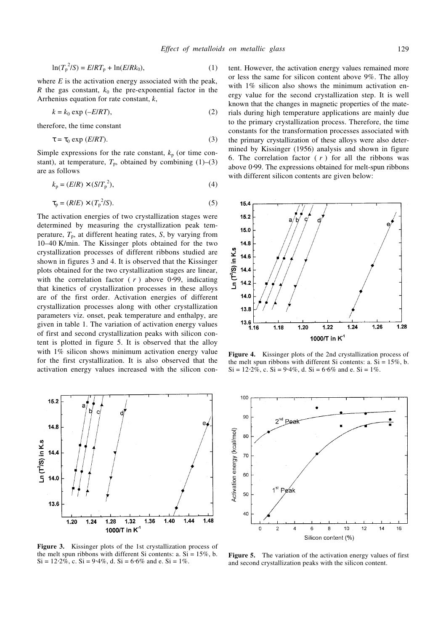$$
\ln(T_{p}^{2}/S) = E/RT_{p} + \ln(E/Rk_{0}),
$$
\n(1)

where  $E$  is the activation energy associated with the peak, *R* the gas constant,  $k_0$  the pre-exponential factor in the Arrhenius equation for rate constant, *k*,

$$
k = k_0 \exp(-E/RT),\tag{2}
$$

therefore, the time constant

$$
\tau = \tau_0 \exp(E/RT). \tag{3}
$$

Simple expressions for the rate constant,  $k_p$  (or time constant), at temperature,  $T_p$ , obtained by combining  $(1)$ – $(3)$ are as follows

$$
k_{\rm p} = (E/R) \times (S/T_{\rm p}^2),\tag{4}
$$

$$
\tau_{\rm p} = (R/E) \times (T_{\rm p}^2/S). \tag{5}
$$

The activation energies of two crystallization stages were determined by measuring the crystallization peak temperature,  $T_p$ , at different heating rates, *S*, by varying from 10–40 K/min. The Kissinger plots obtained for the two crystallization processes of different ribbons studied are shown in figures 3 and 4. It is observed that the Kissinger plots obtained for the two crystallization stages are linear, with the correlation factor  $(\langle r \rangle)$  above 0.99, indicating that kinetics of crystallization processes in these alloys are of the first order. Activation energies of different crystallization processes along with other crystallization parameters viz. onset, peak temperature and enthalpy, are given in table 1. The variation of activation energy values of first and second crystallization peaks with silicon content is plotted in figure 5. It is observed that the alloy with 1% silicon shows minimum activation energy value for the first crystallization. It is also observed that the activation energy values increased with the silicon con-



**Figure 3.** Kissinger plots of the 1st crystallization process of the melt spun ribbons with different Si contents: a.  $Si = 15\%$ , b. Si = 12⋅2%, c. Si = 9⋅4%, d. Si = 6⋅6% and e. Si = 1%.

tent. However, the activation energy values remained more or less the same for silicon content above 9%. The alloy with 1% silicon also shows the minimum activation energy value for the second crystallization step. It is well known that the changes in magnetic properties of the materials during high temperature applications are mainly due to the primary crystallization process. Therefore, the time constants for the transformation processes associated with the primary crystallization of these alloys were also determined by Kissinger (1956) analysis and shown in figure 6. The correlation factor  $(\langle r \rangle)$  for all the ribbons was above 0⋅99. The expressions obtained for melt-spun ribbons with different silicon contents are given below:



**Figure 4.** Kissinger plots of the 2nd crystallization process of the melt spun ribbons with different Si contents: a.  $Si = 15\%$ , b. Si = 12⋅2%, c. Si = 9⋅4%, d. Si = 6⋅6% and e. Si = 1%.



**Figure 5.** The variation of the activation energy values of first and second crystallization peaks with the silicon content.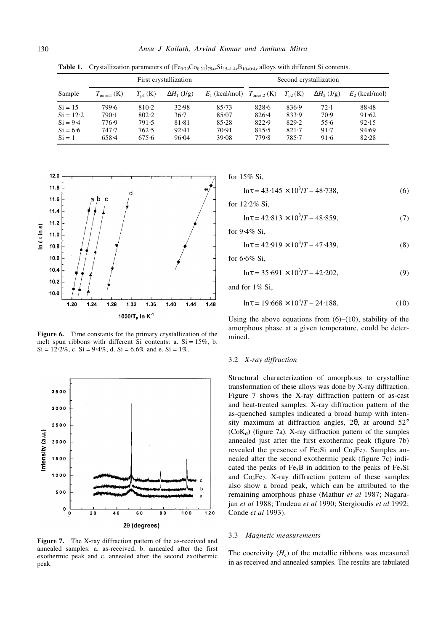|                                                                  | First crystallization                     |                                           |                                            |                                           | Second crystallization                        |                                           |                                      |                                           |
|------------------------------------------------------------------|-------------------------------------------|-------------------------------------------|--------------------------------------------|-------------------------------------------|-----------------------------------------------|-------------------------------------------|--------------------------------------|-------------------------------------------|
| Sample                                                           | $T_{\text{onset1}}$ (K)                   | $T_{\rm nl}$ (K)                          | $\Delta H_1$ (J/g)                         | $E_1$ (kcal/mol)                          | $T_{\text{onset2}}$ (K)                       | $T_{n2}$ (K)                              | $\Delta H_2$ (J/g)                   | $E_2$ (kcal/mol)                          |
| $Si = 15$<br>$Si = 12.2$<br>$Si = 9.4$<br>$Si = 6.6$<br>$Si = 1$ | 799.6<br>790.1<br>776.9<br>747.7<br>658.4 | 810.2<br>802.2<br>791.5<br>762.5<br>675.6 | 32.98<br>$36-7$<br>81.81<br>92.41<br>96.04 | 85.73<br>85.07<br>85.28<br>70.91<br>39.08 | 828.6<br>$826 - 4$<br>822.9<br>815.5<br>779.8 | 836.9<br>833.9<br>829.2<br>821.7<br>785.7 | 72.1<br>70.9<br>55.6<br>91.7<br>91.6 | 88.48<br>91.62<br>92.15<br>94.69<br>82.28 |

**Table 1.** Crystallization parameters of  $(Fe_{0.79}Co_{0.21})_{75+x}Si_{15-1.4x}B_{10+0.4x}$  alloys with different Si contents.



**Figure 6.** Time constants for the primary crystallization of the melt spun ribbons with different Si contents: a.  $Si = 15\%$ , b. Si =  $12.2\%$ , c. Si =  $9.4\%$ , d. Si =  $6.6\%$  and e. Si =  $1\%$ .



**Figure 7.** The X-ray diffraction pattern of the as-received and annealed samples: a. as-received, b. annealed after the first exothermic peak and c. annealed after the second exothermic peak.

for 15% Si,

$$
\ln \tau = 43.145 \times 10^3 / T - 48.738,\tag{6}
$$

for 12.2% Si.

$$
\ln \tau = 42.813 \times 10^3 / T - 48.859,\tag{7}
$$

for 9⋅4% Si,

$$
\ln \tau = 42.919 \times 10^3 / T - 47.439,\tag{8}
$$

for 6⋅6% Si,

$$
\ln \tau = 35.691 \times 10^3 / T - 42.202,\tag{9}
$$

and for 1% Si,

$$
\ln \tau = 19.668 \times 10^3 / T - 24.188. \tag{10}
$$

Using the above equations from  $(6)$ – $(10)$ , stability of the amorphous phase at a given temperature, could be determined.

### 3.2 *X-ray diffraction*

Structural characterization of amorphous to crystalline transformation of these alloys was done by X-ray diffraction. Figure 7 shows the X-ray diffraction pattern of as-cast and heat-treated samples. X-ray diffraction pattern of the as-quenched samples indicated a broad hump with intensity maximum at diffraction angles, 2θ, at around 52°  $(CoK_{\alpha})$  (figure 7a). X-ray diffraction pattern of the samples annealed just after the first exothermic peak (figure 7b) revealed the presence of Fe<sub>3</sub>Si and Co<sub>3</sub>Fe<sub>7</sub>. Samples annealed after the second exothermic peak (figure 7c) indicated the peaks of  $Fe<sub>3</sub>B$  in addition to the peaks of  $Fe<sub>3</sub>Si$ and  $Co<sub>3</sub>Fe<sub>7</sub>$ . X-ray diffraction pattern of these samples also show a broad peak, which can be attributed to the remaining amorphous phase (Mathur *et al* 1987; Nagarajan *et al* 1988; Trudeau *et al* 1990; Stergioudis *et al* 1992; Conde *et al* 1993).

#### 3.3 *Magnetic measurements*

The coercivity  $(H_c)$  of the metallic ribbons was measured in as received and annealed samples. The results are tabulated